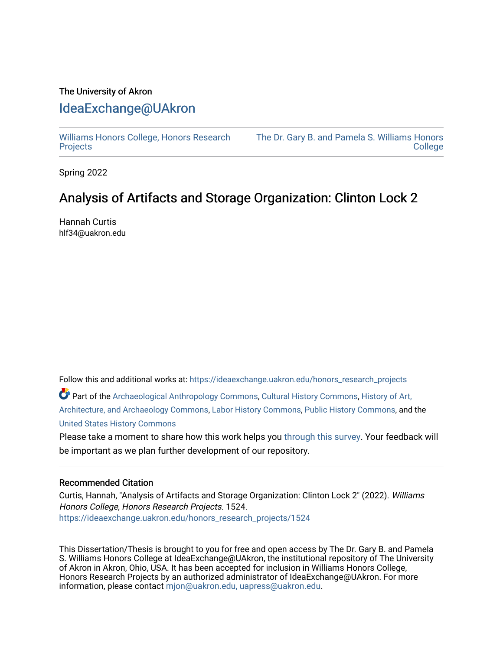### The University of Akron [IdeaExchange@UAkron](https://ideaexchange.uakron.edu/)

[Williams Honors College, Honors Research](https://ideaexchange.uakron.edu/honors_research_projects)  **[Projects](https://ideaexchange.uakron.edu/honors_research_projects)** 

[The Dr. Gary B. and Pamela S. Williams Honors](https://ideaexchange.uakron.edu/honorscollege_ideas)  **College** 

Spring 2022

# Analysis of Artifacts and Storage Organization: Clinton Lock 2

Hannah Curtis hlf34@uakron.edu

Follow this and additional works at: [https://ideaexchange.uakron.edu/honors\\_research\\_projects](https://ideaexchange.uakron.edu/honors_research_projects?utm_source=ideaexchange.uakron.edu%2Fhonors_research_projects%2F1524&utm_medium=PDF&utm_campaign=PDFCoverPages) 

Part of the [Archaeological Anthropology Commons](http://network.bepress.com/hgg/discipline/319?utm_source=ideaexchange.uakron.edu%2Fhonors_research_projects%2F1524&utm_medium=PDF&utm_campaign=PDFCoverPages), [Cultural History Commons,](http://network.bepress.com/hgg/discipline/496?utm_source=ideaexchange.uakron.edu%2Fhonors_research_projects%2F1524&utm_medium=PDF&utm_campaign=PDFCoverPages) [History of Art,](http://network.bepress.com/hgg/discipline/510?utm_source=ideaexchange.uakron.edu%2Fhonors_research_projects%2F1524&utm_medium=PDF&utm_campaign=PDFCoverPages) [Architecture, and Archaeology Commons,](http://network.bepress.com/hgg/discipline/510?utm_source=ideaexchange.uakron.edu%2Fhonors_research_projects%2F1524&utm_medium=PDF&utm_campaign=PDFCoverPages) [Labor History Commons,](http://network.bepress.com/hgg/discipline/1254?utm_source=ideaexchange.uakron.edu%2Fhonors_research_projects%2F1524&utm_medium=PDF&utm_campaign=PDFCoverPages) [Public History Commons](http://network.bepress.com/hgg/discipline/1292?utm_source=ideaexchange.uakron.edu%2Fhonors_research_projects%2F1524&utm_medium=PDF&utm_campaign=PDFCoverPages), and the [United States History Commons](http://network.bepress.com/hgg/discipline/495?utm_source=ideaexchange.uakron.edu%2Fhonors_research_projects%2F1524&utm_medium=PDF&utm_campaign=PDFCoverPages)

Please take a moment to share how this work helps you [through this survey](http://survey.az1.qualtrics.com/SE/?SID=SV_eEVH54oiCbOw05f&URL=https://ideaexchange.uakron.edu/honors_research_projects/1524). Your feedback will be important as we plan further development of our repository.

#### Recommended Citation

Curtis, Hannah, "Analysis of Artifacts and Storage Organization: Clinton Lock 2" (2022). Williams Honors College, Honors Research Projects. 1524. [https://ideaexchange.uakron.edu/honors\\_research\\_projects/1524](https://ideaexchange.uakron.edu/honors_research_projects/1524?utm_source=ideaexchange.uakron.edu%2Fhonors_research_projects%2F1524&utm_medium=PDF&utm_campaign=PDFCoverPages) 

This Dissertation/Thesis is brought to you for free and open access by The Dr. Gary B. and Pamela S. Williams Honors College at IdeaExchange@UAkron, the institutional repository of The University of Akron in Akron, Ohio, USA. It has been accepted for inclusion in Williams Honors College, Honors Research Projects by an authorized administrator of IdeaExchange@UAkron. For more information, please contact [mjon@uakron.edu, uapress@uakron.edu.](mailto:mjon@uakron.edu,%20uapress@uakron.edu)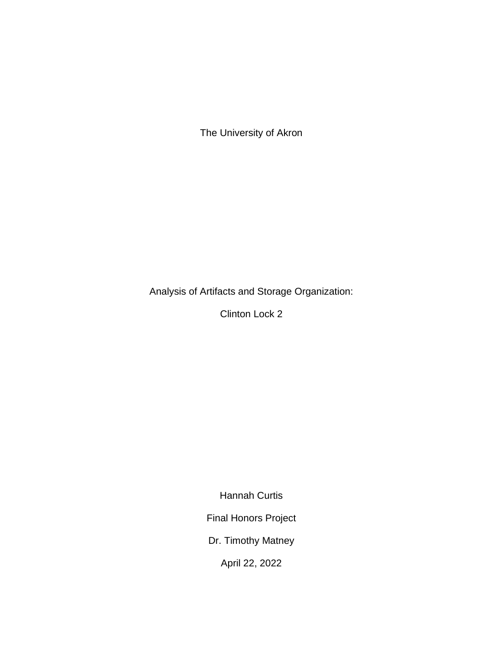The University of Akron

Analysis of Artifacts and Storage Organization:

Clinton Lock 2

Hannah Curtis

Final Honors Project

Dr. Timothy Matney

April 22, 2022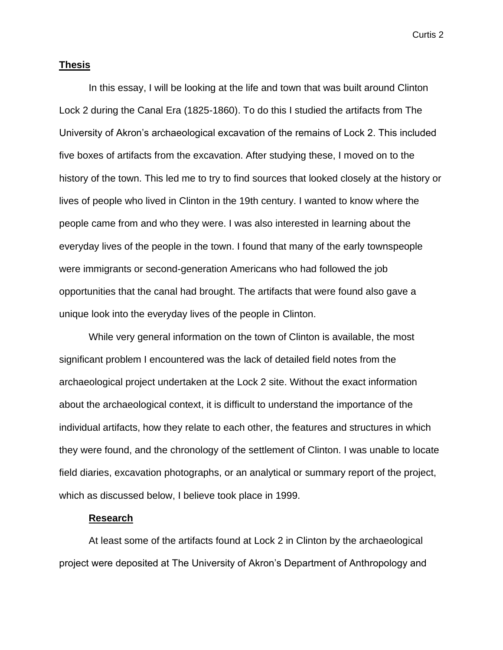#### **Thesis**

In this essay, I will be looking at the life and town that was built around Clinton Lock 2 during the Canal Era (1825-1860). To do this I studied the artifacts from The University of Akron's archaeological excavation of the remains of Lock 2. This included five boxes of artifacts from the excavation. After studying these, I moved on to the history of the town. This led me to try to find sources that looked closely at the history or lives of people who lived in Clinton in the 19th century. I wanted to know where the people came from and who they were. I was also interested in learning about the everyday lives of the people in the town. I found that many of the early townspeople were immigrants or second-generation Americans who had followed the job opportunities that the canal had brought. The artifacts that were found also gave a unique look into the everyday lives of the people in Clinton.

While very general information on the town of Clinton is available, the most significant problem I encountered was the lack of detailed field notes from the archaeological project undertaken at the Lock 2 site. Without the exact information about the archaeological context, it is difficult to understand the importance of the individual artifacts, how they relate to each other, the features and structures in which they were found, and the chronology of the settlement of Clinton. I was unable to locate field diaries, excavation photographs, or an analytical or summary report of the project, which as discussed below, I believe took place in 1999.

#### **Research**

At least some of the artifacts found at Lock 2 in Clinton by the archaeological project were deposited at The University of Akron's Department of Anthropology and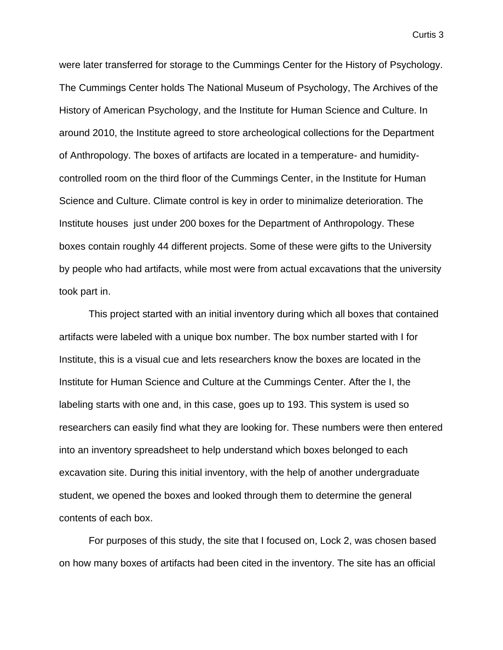were later transferred for storage to the Cummings Center for the History of Psychology. The Cummings Center holds The National Museum of Psychology, The Archives of the History of American Psychology, and the Institute for Human Science and Culture. In around 2010, the Institute agreed to store archeological collections for the Department of Anthropology. The boxes of artifacts are located in a temperature- and humiditycontrolled room on the third floor of the Cummings Center, in the Institute for Human Science and Culture. Climate control is key in order to minimalize deterioration. The Institute houses just under 200 boxes for the Department of Anthropology. These boxes contain roughly 44 different projects. Some of these were gifts to the University by people who had artifacts, while most were from actual excavations that the university took part in.

This project started with an initial inventory during which all boxes that contained artifacts were labeled with a unique box number. The box number started with I for Institute, this is a visual cue and lets researchers know the boxes are located in the Institute for Human Science and Culture at the Cummings Center. After the I, the labeling starts with one and, in this case, goes up to 193. This system is used so researchers can easily find what they are looking for. These numbers were then entered into an inventory spreadsheet to help understand which boxes belonged to each excavation site. During this initial inventory, with the help of another undergraduate student, we opened the boxes and looked through them to determine the general contents of each box.

For purposes of this study, the site that I focused on, Lock 2, was chosen based on how many boxes of artifacts had been cited in the inventory. The site has an official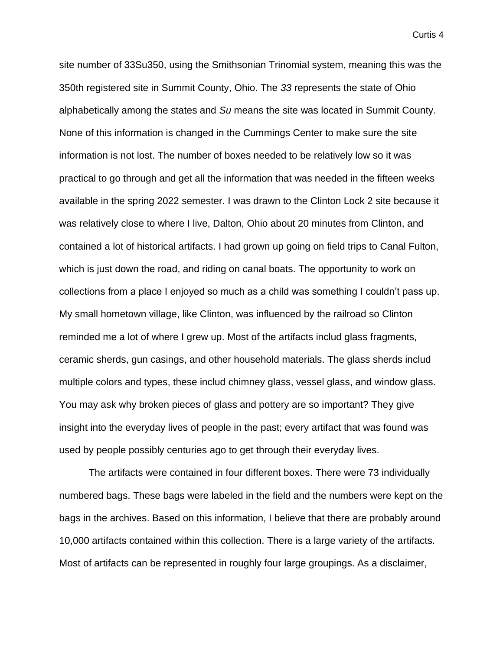site number of 33Su350, using the Smithsonian Trinomial system, meaning this was the 350th registered site in Summit County, Ohio. The *33* represents the state of Ohio alphabetically among the states and *Su* means the site was located in Summit County. None of this information is changed in the Cummings Center to make sure the site information is not lost. The number of boxes needed to be relatively low so it was practical to go through and get all the information that was needed in the fifteen weeks available in the spring 2022 semester. I was drawn to the Clinton Lock 2 site because it was relatively close to where I live, Dalton, Ohio about 20 minutes from Clinton, and contained a lot of historical artifacts. I had grown up going on field trips to Canal Fulton, which is just down the road, and riding on canal boats. The opportunity to work on collections from a place I enjoyed so much as a child was something I couldn't pass up. My small hometown village, like Clinton, was influenced by the railroad so Clinton reminded me a lot of where I grew up. Most of the artifacts includ glass fragments, ceramic sherds, gun casings, and other household materials. The glass sherds includ multiple colors and types, these includ chimney glass, vessel glass, and window glass. You may ask why broken pieces of glass and pottery are so important? They give insight into the everyday lives of people in the past; every artifact that was found was used by people possibly centuries ago to get through their everyday lives.

The artifacts were contained in four different boxes. There were 73 individually numbered bags. These bags were labeled in the field and the numbers were kept on the bags in the archives. Based on this information, I believe that there are probably around 10,000 artifacts contained within this collection. There is a large variety of the artifacts. Most of artifacts can be represented in roughly four large groupings. As a disclaimer,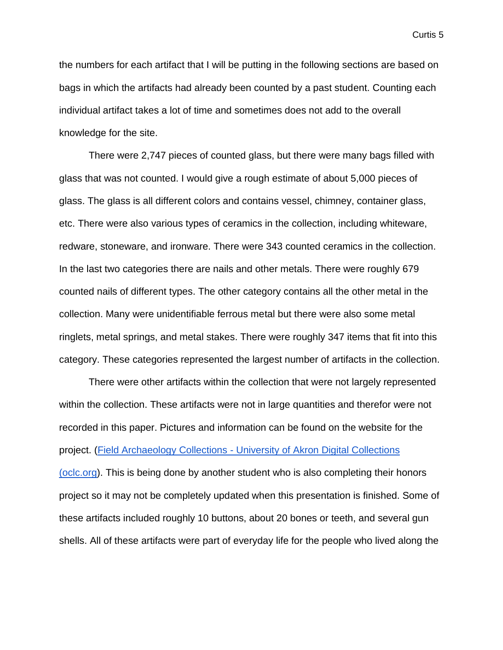the numbers for each artifact that I will be putting in the following sections are based on bags in which the artifacts had already been counted by a past student. Counting each individual artifact takes a lot of time and sometimes does not add to the overall knowledge for the site.

There were 2,747 pieces of counted glass, but there were many bags filled with glass that was not counted. I would give a rough estimate of about 5,000 pieces of glass. The glass is all different colors and contains vessel, chimney, container glass, etc. There were also various types of ceramics in the collection, including whiteware, redware, stoneware, and ironware. There were 343 counted ceramics in the collection. In the last two categories there are nails and other metals. There were roughly 679 counted nails of different types. The other category contains all the other metal in the collection. Many were unidentifiable ferrous metal but there were also some metal ringlets, metal springs, and metal stakes. There were roughly 347 items that fit into this category. These categories represented the largest number of artifacts in the collection.

There were other artifacts within the collection that were not largely represented within the collection. These artifacts were not in large quantities and therefor were not recorded in this paper. Pictures and information can be found on the website for the project. (Field Archaeology Collections - [University of Akron Digital Collections](https://cdm15960.contentdm.oclc.org/digital/collection/p15960coll12)  [\(oclc.org\)](https://cdm15960.contentdm.oclc.org/digital/collection/p15960coll12). This is being done by another student who is also completing their honors project so it may not be completely updated when this presentation is finished. Some of these artifacts included roughly 10 buttons, about 20 bones or teeth, and several gun shells. All of these artifacts were part of everyday life for the people who lived along the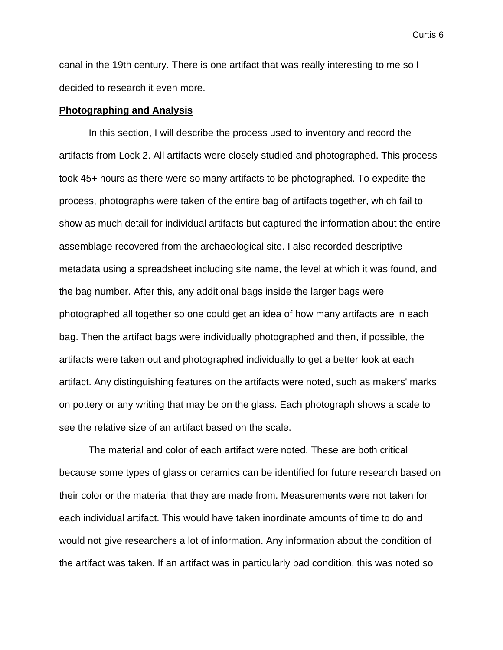canal in the 19th century. There is one artifact that was really interesting to me so I decided to research it even more.

#### **Photographing and Analysis**

In this section, I will describe the process used to inventory and record the artifacts from Lock 2. All artifacts were closely studied and photographed. This process took 45+ hours as there were so many artifacts to be photographed. To expedite the process, photographs were taken of the entire bag of artifacts together, which fail to show as much detail for individual artifacts but captured the information about the entire assemblage recovered from the archaeological site. I also recorded descriptive metadata using a spreadsheet including site name, the level at which it was found, and the bag number. After this, any additional bags inside the larger bags were photographed all together so one could get an idea of how many artifacts are in each bag. Then the artifact bags were individually photographed and then, if possible, the artifacts were taken out and photographed individually to get a better look at each artifact. Any distinguishing features on the artifacts were noted, such as makers' marks on pottery or any writing that may be on the glass. Each photograph shows a scale to see the relative size of an artifact based on the scale.

The material and color of each artifact were noted. These are both critical because some types of glass or ceramics can be identified for future research based on their color or the material that they are made from. Measurements were not taken for each individual artifact. This would have taken inordinate amounts of time to do and would not give researchers a lot of information. Any information about the condition of the artifact was taken. If an artifact was in particularly bad condition, this was noted so

Curtis 6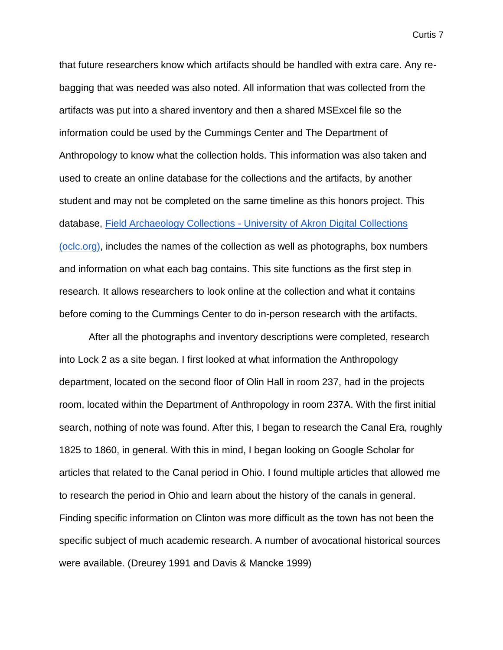that future researchers know which artifacts should be handled with extra care. Any rebagging that was needed was also noted. All information that was collected from the artifacts was put into a shared inventory and then a shared MSExcel file so the information could be used by the Cummings Center and The Department of Anthropology to know what the collection holds. This information was also taken and used to create an online database for the collections and the artifacts, by another student and may not be completed on the same timeline as this honors project. This database, Field Archaeology Collections - [University of Akron Digital Collections](https://cdm15960.contentdm.oclc.org/digital/collection/p15960coll12)  [\(oclc.org\),](https://cdm15960.contentdm.oclc.org/digital/collection/p15960coll12) includes the names of the collection as well as photographs, box numbers and information on what each bag contains. This site functions as the first step in research. It allows researchers to look online at the collection and what it contains before coming to the Cummings Center to do in-person research with the artifacts.

After all the photographs and inventory descriptions were completed, research into Lock 2 as a site began. I first looked at what information the Anthropology department, located on the second floor of Olin Hall in room 237, had in the projects room, located within the Department of Anthropology in room 237A. With the first initial search, nothing of note was found. After this, I began to research the Canal Era, roughly 1825 to 1860, in general. With this in mind, I began looking on Google Scholar for articles that related to the Canal period in Ohio. I found multiple articles that allowed me to research the period in Ohio and learn about the history of the canals in general. Finding specific information on Clinton was more difficult as the town has not been the specific subject of much academic research. A number of avocational historical sources were available. (Dreurey 1991 and Davis & Mancke 1999)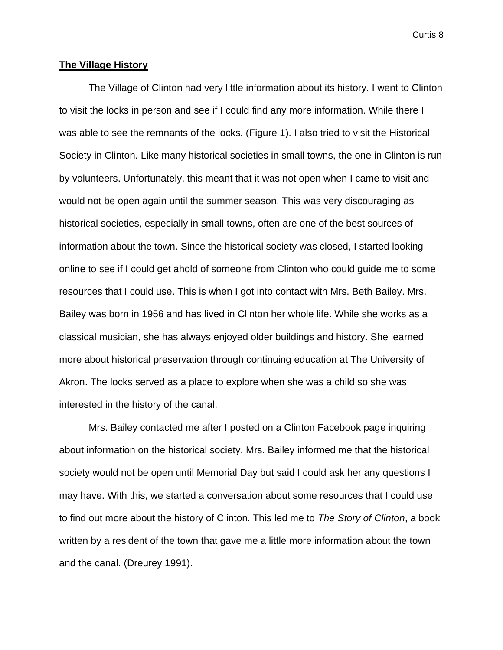#### **The Village History**

The Village of Clinton had very little information about its history. I went to Clinton to visit the locks in person and see if I could find any more information. While there I was able to see the remnants of the locks. (Figure 1). I also tried to visit the Historical Society in Clinton. Like many historical societies in small towns, the one in Clinton is run by volunteers. Unfortunately, this meant that it was not open when I came to visit and would not be open again until the summer season. This was very discouraging as historical societies, especially in small towns, often are one of the best sources of information about the town. Since the historical society was closed, I started looking online to see if I could get ahold of someone from Clinton who could guide me to some resources that I could use. This is when I got into contact with Mrs. Beth Bailey. Mrs. Bailey was born in 1956 and has lived in Clinton her whole life. While she works as a classical musician, she has always enjoyed older buildings and history. She learned more about historical preservation through continuing education at The University of Akron. The locks served as a place to explore when she was a child so she was interested in the history of the canal.

Mrs. Bailey contacted me after I posted on a Clinton Facebook page inquiring about information on the historical society. Mrs. Bailey informed me that the historical society would not be open until Memorial Day but said I could ask her any questions I may have. With this, we started a conversation about some resources that I could use to find out more about the history of Clinton. This led me to *The Story of Clinton*, a book written by a resident of the town that gave me a little more information about the town and the canal. (Dreurey 1991).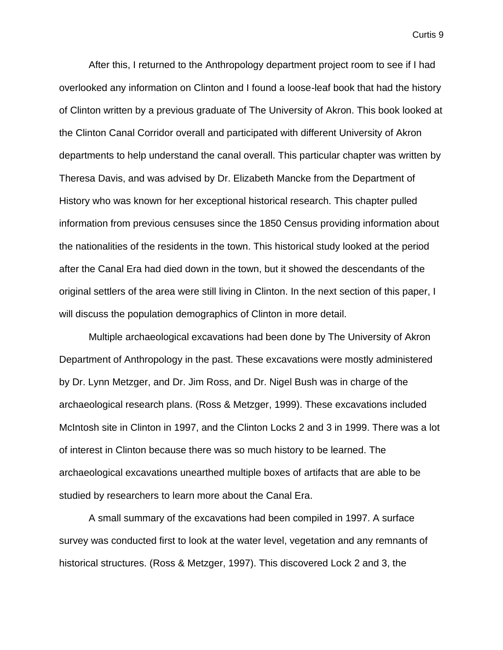After this, I returned to the Anthropology department project room to see if I had overlooked any information on Clinton and I found a loose-leaf book that had the history of Clinton written by a previous graduate of The University of Akron. This book looked at the Clinton Canal Corridor overall and participated with different University of Akron departments to help understand the canal overall. This particular chapter was written by Theresa Davis, and was advised by Dr. Elizabeth Mancke from the Department of History who was known for her exceptional historical research. This chapter pulled information from previous censuses since the 1850 Census providing information about the nationalities of the residents in the town. This historical study looked at the period after the Canal Era had died down in the town, but it showed the descendants of the original settlers of the area were still living in Clinton. In the next section of this paper, I will discuss the population demographics of Clinton in more detail.

Multiple archaeological excavations had been done by The University of Akron Department of Anthropology in the past. These excavations were mostly administered by Dr. Lynn Metzger, and Dr. Jim Ross, and Dr. Nigel Bush was in charge of the archaeological research plans. (Ross & Metzger, 1999). These excavations included McIntosh site in Clinton in 1997, and the Clinton Locks 2 and 3 in 1999. There was a lot of interest in Clinton because there was so much history to be learned. The archaeological excavations unearthed multiple boxes of artifacts that are able to be studied by researchers to learn more about the Canal Era.

A small summary of the excavations had been compiled in 1997. A surface survey was conducted first to look at the water level, vegetation and any remnants of historical structures. (Ross & Metzger, 1997). This discovered Lock 2 and 3, the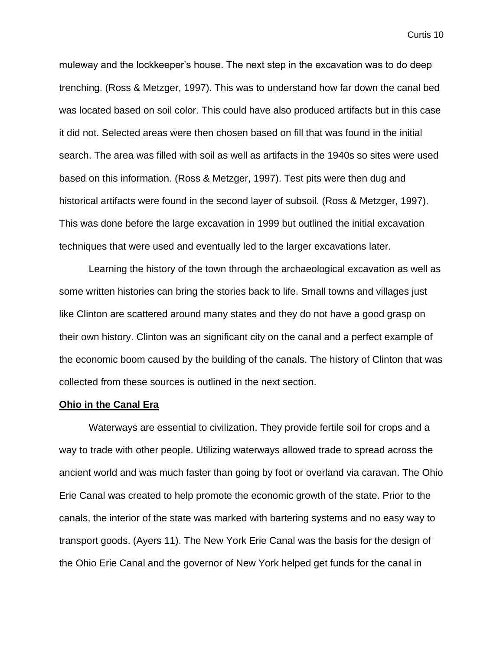muleway and the lockkeeper's house. The next step in the excavation was to do deep trenching. (Ross & Metzger, 1997). This was to understand how far down the canal bed was located based on soil color. This could have also produced artifacts but in this case it did not. Selected areas were then chosen based on fill that was found in the initial search. The area was filled with soil as well as artifacts in the 1940s so sites were used based on this information. (Ross & Metzger, 1997). Test pits were then dug and historical artifacts were found in the second layer of subsoil. (Ross & Metzger, 1997). This was done before the large excavation in 1999 but outlined the initial excavation techniques that were used and eventually led to the larger excavations later.

Learning the history of the town through the archaeological excavation as well as some written histories can bring the stories back to life. Small towns and villages just like Clinton are scattered around many states and they do not have a good grasp on their own history. Clinton was an significant city on the canal and a perfect example of the economic boom caused by the building of the canals. The history of Clinton that was collected from these sources is outlined in the next section.

#### **Ohio in the Canal Era**

Waterways are essential to civilization. They provide fertile soil for crops and a way to trade with other people. Utilizing waterways allowed trade to spread across the ancient world and was much faster than going by foot or overland via caravan. The Ohio Erie Canal was created to help promote the economic growth of the state. Prior to the canals, the interior of the state was marked with bartering systems and no easy way to transport goods. (Ayers 11). The New York Erie Canal was the basis for the design of the Ohio Erie Canal and the governor of New York helped get funds for the canal in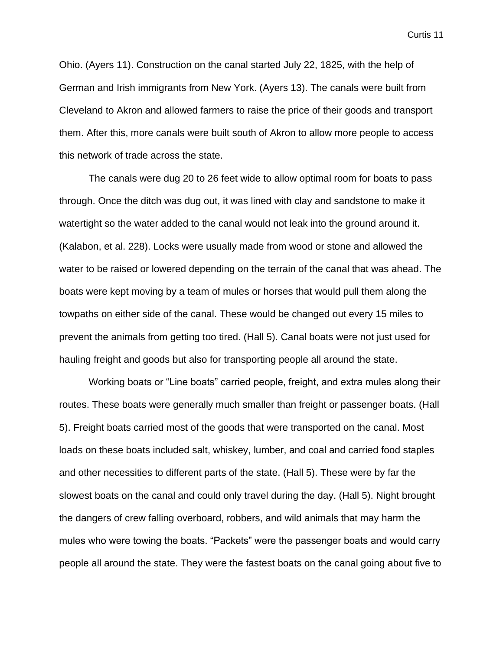Ohio. (Ayers 11). Construction on the canal started July 22, 1825, with the help of German and Irish immigrants from New York. (Ayers 13). The canals were built from Cleveland to Akron and allowed farmers to raise the price of their goods and transport them. After this, more canals were built south of Akron to allow more people to access this network of trade across the state.

The canals were dug 20 to 26 feet wide to allow optimal room for boats to pass through. Once the ditch was dug out, it was lined with clay and sandstone to make it watertight so the water added to the canal would not leak into the ground around it. (Kalabon, et al. 228). Locks were usually made from wood or stone and allowed the water to be raised or lowered depending on the terrain of the canal that was ahead. The boats were kept moving by a team of mules or horses that would pull them along the towpaths on either side of the canal. These would be changed out every 15 miles to prevent the animals from getting too tired. (Hall 5). Canal boats were not just used for hauling freight and goods but also for transporting people all around the state.

Working boats or "Line boats" carried people, freight, and extra mules along their routes. These boats were generally much smaller than freight or passenger boats. (Hall 5). Freight boats carried most of the goods that were transported on the canal. Most loads on these boats included salt, whiskey, lumber, and coal and carried food staples and other necessities to different parts of the state. (Hall 5). These were by far the slowest boats on the canal and could only travel during the day. (Hall 5). Night brought the dangers of crew falling overboard, robbers, and wild animals that may harm the mules who were towing the boats. "Packets" were the passenger boats and would carry people all around the state. They were the fastest boats on the canal going about five to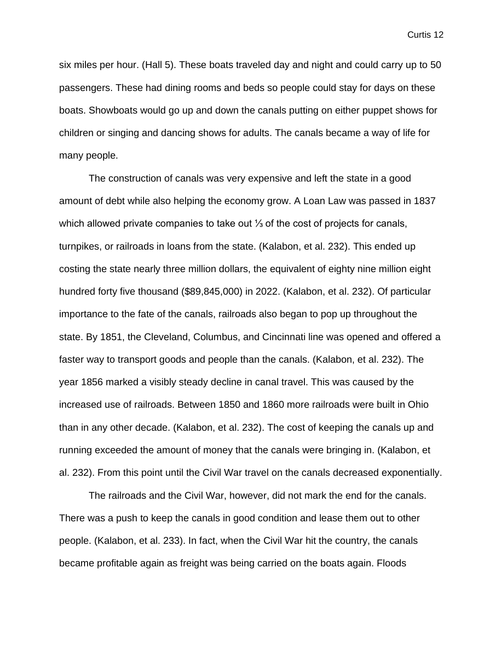six miles per hour. (Hall 5). These boats traveled day and night and could carry up to 50 passengers. These had dining rooms and beds so people could stay for days on these boats. Showboats would go up and down the canals putting on either puppet shows for children or singing and dancing shows for adults. The canals became a way of life for many people.

The construction of canals was very expensive and left the state in a good amount of debt while also helping the economy grow. A Loan Law was passed in 1837 which allowed private companies to take out <sup>1</sup>⁄<sub>3</sub> of the cost of projects for canals, turnpikes, or railroads in loans from the state. (Kalabon, et al. 232). This ended up costing the state nearly three million dollars, the equivalent of eighty nine million eight hundred forty five thousand (\$89,845,000) in 2022. (Kalabon, et al. 232). Of particular importance to the fate of the canals, railroads also began to pop up throughout the state. By 1851, the Cleveland, Columbus, and Cincinnati line was opened and offered a faster way to transport goods and people than the canals. (Kalabon, et al. 232). The year 1856 marked a visibly steady decline in canal travel. This was caused by the increased use of railroads. Between 1850 and 1860 more railroads were built in Ohio than in any other decade. (Kalabon, et al. 232). The cost of keeping the canals up and running exceeded the amount of money that the canals were bringing in. (Kalabon, et al. 232). From this point until the Civil War travel on the canals decreased exponentially.

The railroads and the Civil War, however, did not mark the end for the canals. There was a push to keep the canals in good condition and lease them out to other people. (Kalabon, et al. 233). In fact, when the Civil War hit the country, the canals became profitable again as freight was being carried on the boats again. Floods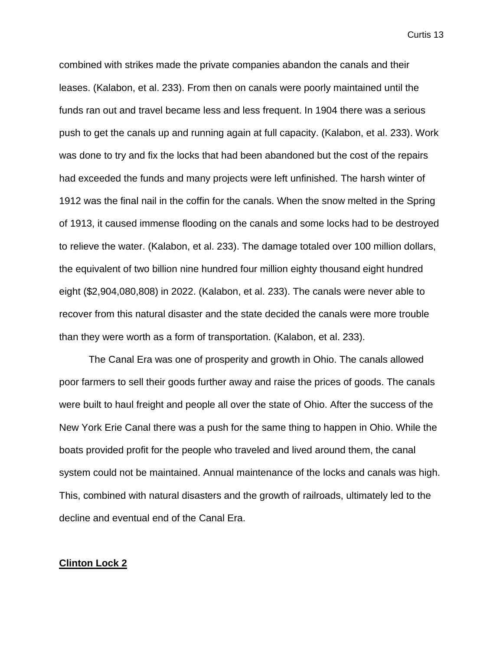combined with strikes made the private companies abandon the canals and their leases. (Kalabon, et al. 233). From then on canals were poorly maintained until the funds ran out and travel became less and less frequent. In 1904 there was a serious push to get the canals up and running again at full capacity. (Kalabon, et al. 233). Work was done to try and fix the locks that had been abandoned but the cost of the repairs had exceeded the funds and many projects were left unfinished. The harsh winter of 1912 was the final nail in the coffin for the canals. When the snow melted in the Spring of 1913, it caused immense flooding on the canals and some locks had to be destroyed to relieve the water. (Kalabon, et al. 233). The damage totaled over 100 million dollars, the equivalent of two billion nine hundred four million eighty thousand eight hundred eight (\$2,904,080,808) in 2022. (Kalabon, et al. 233). The canals were never able to recover from this natural disaster and the state decided the canals were more trouble than they were worth as a form of transportation. (Kalabon, et al. 233).

The Canal Era was one of prosperity and growth in Ohio. The canals allowed poor farmers to sell their goods further away and raise the prices of goods. The canals were built to haul freight and people all over the state of Ohio. After the success of the New York Erie Canal there was a push for the same thing to happen in Ohio. While the boats provided profit for the people who traveled and lived around them, the canal system could not be maintained. Annual maintenance of the locks and canals was high. This, combined with natural disasters and the growth of railroads, ultimately led to the decline and eventual end of the Canal Era.

#### **Clinton Lock 2**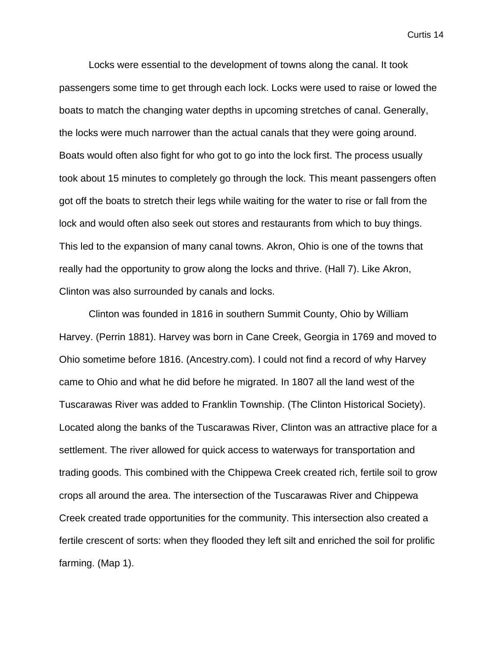Locks were essential to the development of towns along the canal. It took passengers some time to get through each lock. Locks were used to raise or lowed the boats to match the changing water depths in upcoming stretches of canal. Generally, the locks were much narrower than the actual canals that they were going around. Boats would often also fight for who got to go into the lock first. The process usually took about 15 minutes to completely go through the lock. This meant passengers often got off the boats to stretch their legs while waiting for the water to rise or fall from the lock and would often also seek out stores and restaurants from which to buy things. This led to the expansion of many canal towns. Akron, Ohio is one of the towns that really had the opportunity to grow along the locks and thrive. (Hall 7). Like Akron, Clinton was also surrounded by canals and locks.

Clinton was founded in 1816 in southern Summit County, Ohio by William Harvey. (Perrin 1881). Harvey was born in Cane Creek, Georgia in 1769 and moved to Ohio sometime before 1816. (Ancestry.com). I could not find a record of why Harvey came to Ohio and what he did before he migrated. In 1807 all the land west of the Tuscarawas River was added to Franklin Township. (The Clinton Historical Society). Located along the banks of the Tuscarawas River, Clinton was an attractive place for a settlement. The river allowed for quick access to waterways for transportation and trading goods. This combined with the Chippewa Creek created rich, fertile soil to grow crops all around the area. The intersection of the Tuscarawas River and Chippewa Creek created trade opportunities for the community. This intersection also created a fertile crescent of sorts: when they flooded they left silt and enriched the soil for prolific farming. (Map 1).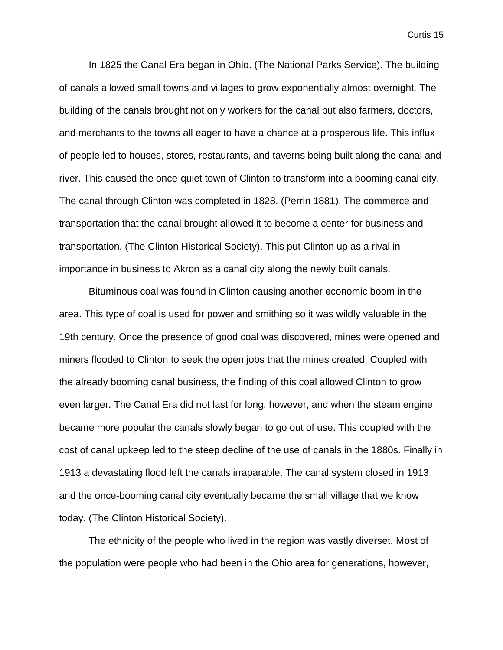In 1825 the Canal Era began in Ohio. (The National Parks Service). The building of canals allowed small towns and villages to grow exponentially almost overnight. The building of the canals brought not only workers for the canal but also farmers, doctors, and merchants to the towns all eager to have a chance at a prosperous life. This influx of people led to houses, stores, restaurants, and taverns being built along the canal and river. This caused the once-quiet town of Clinton to transform into a booming canal city. The canal through Clinton was completed in 1828. (Perrin 1881). The commerce and transportation that the canal brought allowed it to become a center for business and transportation. (The Clinton Historical Society). This put Clinton up as a rival in importance in business to Akron as a canal city along the newly built canals.

Bituminous coal was found in Clinton causing another economic boom in the area. This type of coal is used for power and smithing so it was wildly valuable in the 19th century. Once the presence of good coal was discovered, mines were opened and miners flooded to Clinton to seek the open jobs that the mines created. Coupled with the already booming canal business, the finding of this coal allowed Clinton to grow even larger. The Canal Era did not last for long, however, and when the steam engine became more popular the canals slowly began to go out of use. This coupled with the cost of canal upkeep led to the steep decline of the use of canals in the 1880s. Finally in 1913 a devastating flood left the canals irraparable. The canal system closed in 1913 and the once-booming canal city eventually became the small village that we know today. (The Clinton Historical Society).

The ethnicity of the people who lived in the region was vastly diverset. Most of the population were people who had been in the Ohio area for generations, however,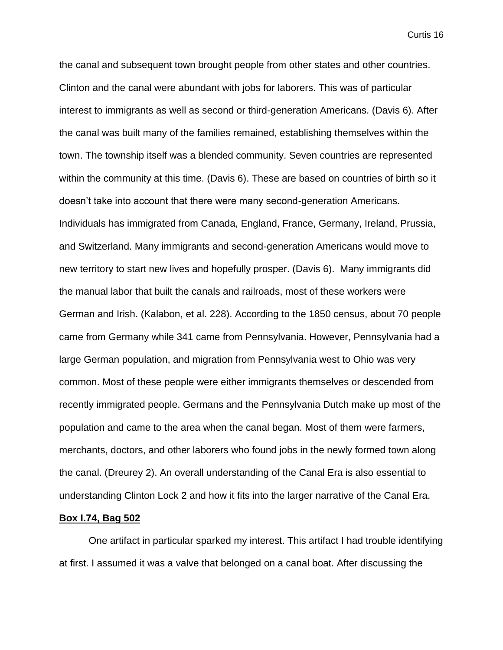the canal and subsequent town brought people from other states and other countries. Clinton and the canal were abundant with jobs for laborers. This was of particular interest to immigrants as well as second or third-generation Americans. (Davis 6). After the canal was built many of the families remained, establishing themselves within the town. The township itself was a blended community. Seven countries are represented within the community at this time. (Davis 6). These are based on countries of birth so it doesn't take into account that there were many second-generation Americans. Individuals has immigrated from Canada, England, France, Germany, Ireland, Prussia, and Switzerland. Many immigrants and second-generation Americans would move to new territory to start new lives and hopefully prosper. (Davis 6). Many immigrants did the manual labor that built the canals and railroads, most of these workers were German and Irish. (Kalabon, et al. 228). According to the 1850 census, about 70 people came from Germany while 341 came from Pennsylvania. However, Pennsylvania had a large German population, and migration from Pennsylvania west to Ohio was very common. Most of these people were either immigrants themselves or descended from recently immigrated people. Germans and the Pennsylvania Dutch make up most of the population and came to the area when the canal began. Most of them were farmers, merchants, doctors, and other laborers who found jobs in the newly formed town along the canal. (Dreurey 2). An overall understanding of the Canal Era is also essential to understanding Clinton Lock 2 and how it fits into the larger narrative of the Canal Era.

#### **Box I.74, Bag 502**

One artifact in particular sparked my interest. This artifact I had trouble identifying at first. I assumed it was a valve that belonged on a canal boat. After discussing the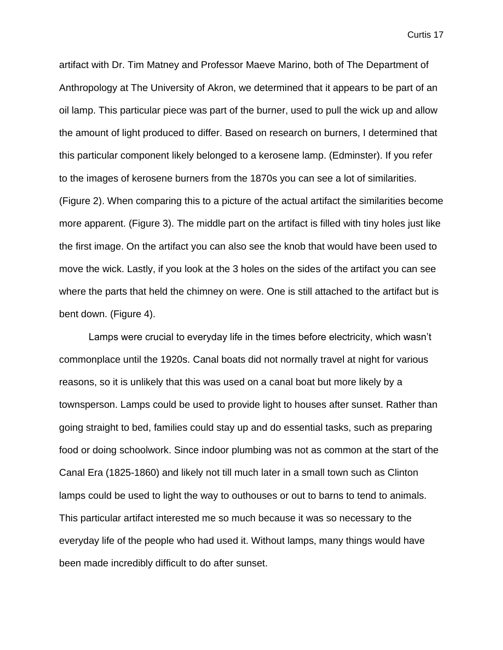artifact with Dr. Tim Matney and Professor Maeve Marino, both of The Department of Anthropology at The University of Akron, we determined that it appears to be part of an oil lamp. This particular piece was part of the burner, used to pull the wick up and allow the amount of light produced to differ. Based on research on burners, I determined that this particular component likely belonged to a kerosene lamp. (Edminster). If you refer to the images of kerosene burners from the 1870s you can see a lot of similarities. (Figure 2). When comparing this to a picture of the actual artifact the similarities become more apparent. (Figure 3). The middle part on the artifact is filled with tiny holes just like the first image. On the artifact you can also see the knob that would have been used to move the wick. Lastly, if you look at the 3 holes on the sides of the artifact you can see where the parts that held the chimney on were. One is still attached to the artifact but is bent down. (Figure 4).

Lamps were crucial to everyday life in the times before electricity, which wasn't commonplace until the 1920s. Canal boats did not normally travel at night for various reasons, so it is unlikely that this was used on a canal boat but more likely by a townsperson. Lamps could be used to provide light to houses after sunset. Rather than going straight to bed, families could stay up and do essential tasks, such as preparing food or doing schoolwork. Since indoor plumbing was not as common at the start of the Canal Era (1825-1860) and likely not till much later in a small town such as Clinton lamps could be used to light the way to outhouses or out to barns to tend to animals. This particular artifact interested me so much because it was so necessary to the everyday life of the people who had used it. Without lamps, many things would have been made incredibly difficult to do after sunset.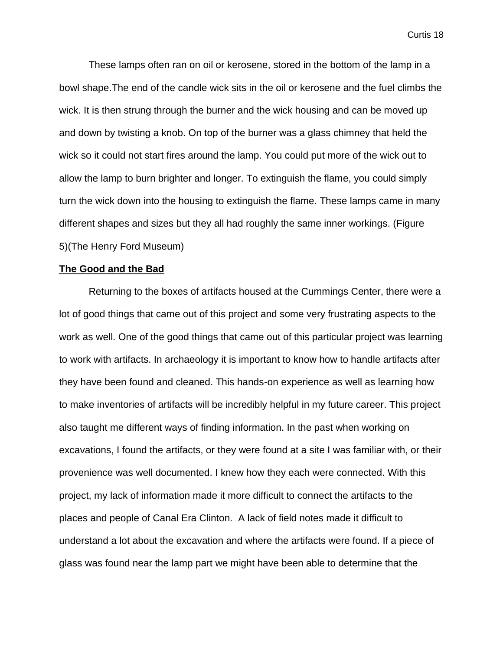These lamps often ran on oil or kerosene, stored in the bottom of the lamp in a bowl shape.The end of the candle wick sits in the oil or kerosene and the fuel climbs the wick. It is then strung through the burner and the wick housing and can be moved up and down by twisting a knob. On top of the burner was a glass chimney that held the wick so it could not start fires around the lamp. You could put more of the wick out to allow the lamp to burn brighter and longer. To extinguish the flame, you could simply turn the wick down into the housing to extinguish the flame. These lamps came in many different shapes and sizes but they all had roughly the same inner workings. (Figure 5)(The Henry Ford Museum)

#### **The Good and the Bad**

Returning to the boxes of artifacts housed at the Cummings Center, there were a lot of good things that came out of this project and some very frustrating aspects to the work as well. One of the good things that came out of this particular project was learning to work with artifacts. In archaeology it is important to know how to handle artifacts after they have been found and cleaned. This hands-on experience as well as learning how to make inventories of artifacts will be incredibly helpful in my future career. This project also taught me different ways of finding information. In the past when working on excavations, I found the artifacts, or they were found at a site I was familiar with, or their provenience was well documented. I knew how they each were connected. With this project, my lack of information made it more difficult to connect the artifacts to the places and people of Canal Era Clinton. A lack of field notes made it difficult to understand a lot about the excavation and where the artifacts were found. If a piece of glass was found near the lamp part we might have been able to determine that the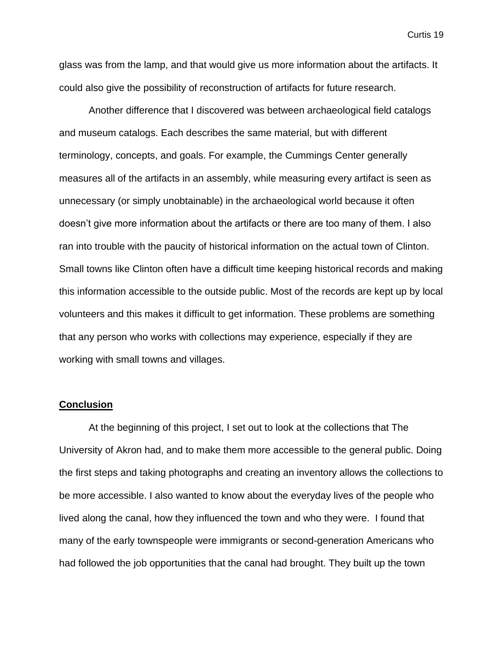glass was from the lamp, and that would give us more information about the artifacts. It could also give the possibility of reconstruction of artifacts for future research.

Another difference that I discovered was between archaeological field catalogs and museum catalogs. Each describes the same material, but with different terminology, concepts, and goals. For example, the Cummings Center generally measures all of the artifacts in an assembly, while measuring every artifact is seen as unnecessary (or simply unobtainable) in the archaeological world because it often doesn't give more information about the artifacts or there are too many of them. I also ran into trouble with the paucity of historical information on the actual town of Clinton. Small towns like Clinton often have a difficult time keeping historical records and making this information accessible to the outside public. Most of the records are kept up by local volunteers and this makes it difficult to get information. These problems are something that any person who works with collections may experience, especially if they are working with small towns and villages.

#### **Conclusion**

At the beginning of this project, I set out to look at the collections that The University of Akron had, and to make them more accessible to the general public. Doing the first steps and taking photographs and creating an inventory allows the collections to be more accessible. I also wanted to know about the everyday lives of the people who lived along the canal, how they influenced the town and who they were. I found that many of the early townspeople were immigrants or second-generation Americans who had followed the job opportunities that the canal had brought. They built up the town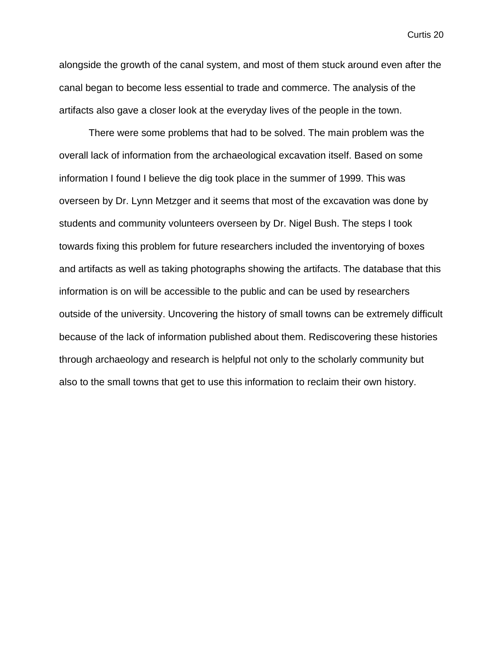alongside the growth of the canal system, and most of them stuck around even after the canal began to become less essential to trade and commerce. The analysis of the artifacts also gave a closer look at the everyday lives of the people in the town.

There were some problems that had to be solved. The main problem was the overall lack of information from the archaeological excavation itself. Based on some information I found I believe the dig took place in the summer of 1999. This was overseen by Dr. Lynn Metzger and it seems that most of the excavation was done by students and community volunteers overseen by Dr. Nigel Bush. The steps I took towards fixing this problem for future researchers included the inventorying of boxes and artifacts as well as taking photographs showing the artifacts. The database that this information is on will be accessible to the public and can be used by researchers outside of the university. Uncovering the history of small towns can be extremely difficult because of the lack of information published about them. Rediscovering these histories through archaeology and research is helpful not only to the scholarly community but also to the small towns that get to use this information to reclaim their own history.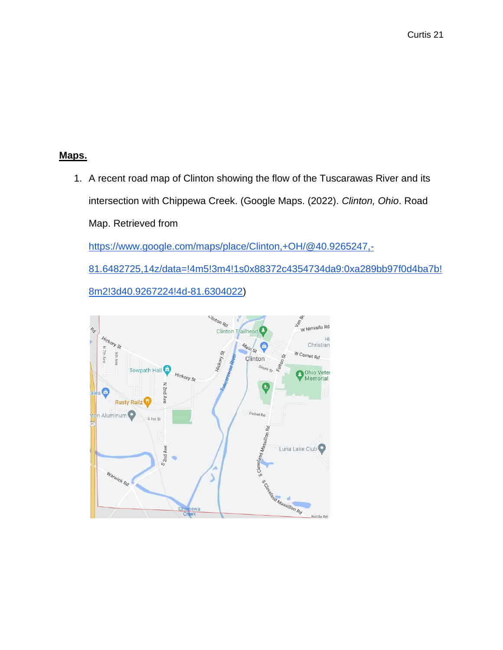### **Maps.**

1. A recent road map of Clinton showing the flow of the Tuscarawas River and its intersection with Chippewa Creek. (Google Maps. (2022). *Clinton, Ohio*. Road Map. Retrieved from [https://www.google.com/maps/place/Clinton,+OH/@40.9265247,-](https://www.google.com/maps/place/Clinton,+OH/@40.9265247,-81.6482725,14z/data=!4m5!3m4!1s0x88372c4354734da9:0xa289bb97f0d4ba7b!8m2!3d40.9267224!4d-81.6304022) [81.6482725,14z/data=!4m5!3m4!1s0x88372c4354734da9:0xa289bb97f0d4ba7b!](https://www.google.com/maps/place/Clinton,+OH/@40.9265247,-81.6482725,14z/data=!4m5!3m4!1s0x88372c4354734da9:0xa289bb97f0d4ba7b!8m2!3d40.9267224!4d-81.6304022) [8m2!3d40.9267224!4d-81.6304022\)](https://www.google.com/maps/place/Clinton,+OH/@40.9265247,-81.6482725,14z/data=!4m5!3m4!1s0x88372c4354734da9:0xa289bb97f0d4ba7b!8m2!3d40.9267224!4d-81.6304022)

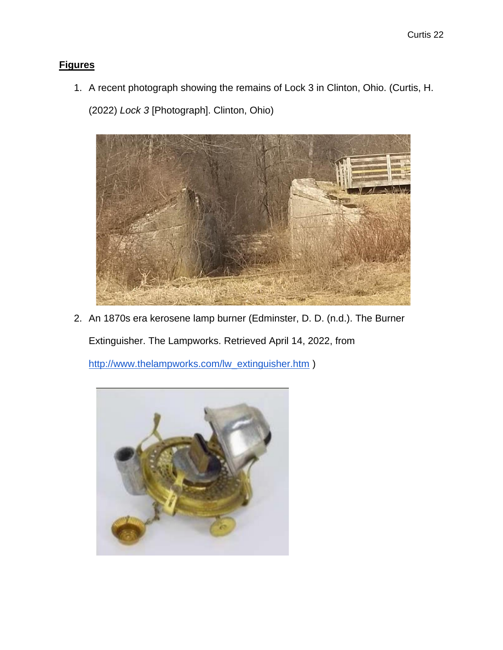### **Figures**

1. A recent photograph showing the remains of Lock 3 in Clinton, Ohio. (Curtis, H.

(2022) *Lock 3* [Photograph]. Clinton, Ohio)



2. An 1870s era kerosene lamp burner (Edminster, D. D. (n.d.). The Burner

Extinguisher. The Lampworks. Retrieved April 14, 2022, from

[http://www.thelampworks.com/lw\\_extinguisher.htm](http://www.thelampworks.com/lw_extinguisher.htm) )

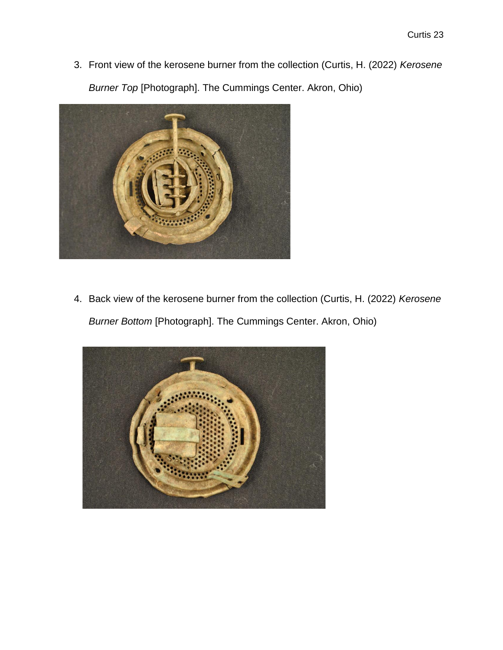3. Front view of the kerosene burner from the collection (Curtis, H. (2022) *Kerosene Burner Top* [Photograph]. The Cummings Center. Akron, Ohio)



4. Back view of the kerosene burner from the collection (Curtis, H. (2022) *Kerosene Burner Bottom* [Photograph]. The Cummings Center. Akron, Ohio)

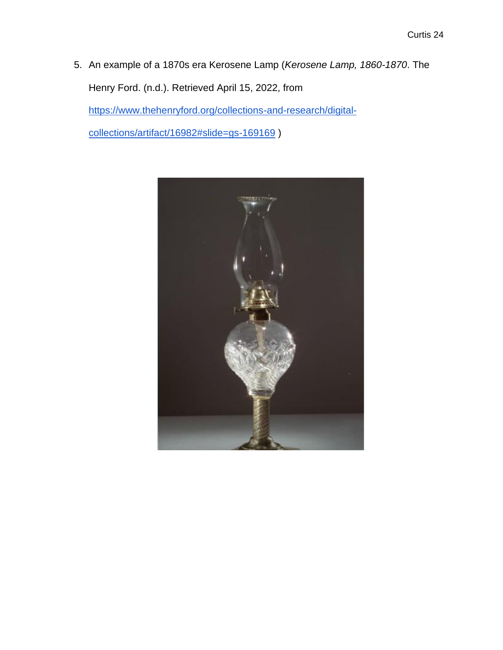5. An example of a 1870s era Kerosene Lamp (*Kerosene Lamp, 1860-1870*. The Henry Ford. (n.d.). Retrieved April 15, 2022, from [https://www.thehenryford.org/collections-and-research/digital](https://www.thehenryford.org/collections-and-research/digital-collections/artifact/16982#slide=gs-169169)[collections/artifact/16982#slide=gs-169169](https://www.thehenryford.org/collections-and-research/digital-collections/artifact/16982#slide=gs-169169) )

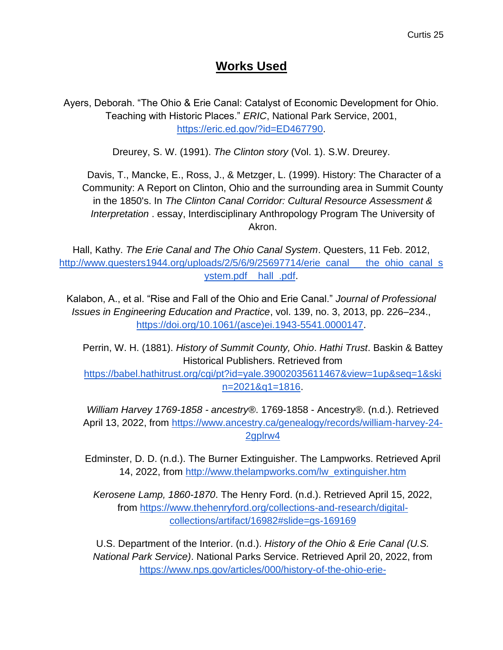## **Works Used**

Ayers, Deborah. "The Ohio & Erie Canal: Catalyst of Economic Development for Ohio. Teaching with Historic Places." *ERIC*, National Park Service, 2001, [https://eric.ed.gov/?id=ED467790.](https://eric.ed.gov/?id=ED467790)

Dreurey, S. W. (1991). *The Clinton story* (Vol. 1). S.W. Dreurey.

Davis, T., Mancke, E., Ross, J., & Metzger, L. (1999). History: The Character of a Community: A Report on Clinton, Ohio and the surrounding area in Summit County in the 1850's. In *The Clinton Canal Corridor: Cultural Resource Assessment & Interpretation* . essay, Interdisciplinary Anthropology Program The University of Akron.

Hall, Kathy. *The Erie Canal and The Ohio Canal System*. Questers, 11 Feb. 2012, [http://www.questers1944.org/uploads/2/5/6/9/25697714/erie\\_canal\\_\\_\\_the\\_ohio\\_canal\\_s](http://www.questers1944.org/uploads/2/5/6/9/25697714/erie_canal___the_ohio_canal_system.pdf__hall_.pdf) [ystem.pdf\\_\\_hall\\_.pdf.](http://www.questers1944.org/uploads/2/5/6/9/25697714/erie_canal___the_ohio_canal_system.pdf__hall_.pdf)

Kalabon, A., et al. "Rise and Fall of the Ohio and Erie Canal." *Journal of Professional Issues in Engineering Education and Practice*, vol. 139, no. 3, 2013, pp. 226–234., [https://doi.org/10.1061/\(asce\)ei.1943-5541.0000147.](https://doi.org/10.1061/(asce)ei.1943-5541.0000147)

Perrin, W. H. (1881). *History of Summit County, Ohio*. *Hathi Trust*. Baskin & Battey Historical Publishers. Retrieved from

[https://babel.hathitrust.org/cgi/pt?id=yale.39002035611467&view=1up&seq=1&ski](https://babel.hathitrust.org/cgi/pt?id=yale.39002035611467&view=1up&seq=1&skin=2021&q1=1816) [n=2021&q1=1816.](https://babel.hathitrust.org/cgi/pt?id=yale.39002035611467&view=1up&seq=1&skin=2021&q1=1816)

*William Harvey 1769-1858 - ancestry®*. 1769-1858 - Ancestry®. (n.d.). Retrieved April 13, 2022, from [https://www.ancestry.ca/genealogy/records/william-harvey-24-](https://www.ancestry.ca/genealogy/records/william-harvey-24-2gplrw4) [2gplrw4](https://www.ancestry.ca/genealogy/records/william-harvey-24-2gplrw4)

Edminster, D. D. (n.d.). The Burner Extinguisher. The Lampworks. Retrieved April 14, 2022, from [http://www.thelampworks.com/lw\\_extinguisher.htm](http://www.thelampworks.com/lw_extinguisher.htm)

*Kerosene Lamp, 1860-1870*. The Henry Ford. (n.d.). Retrieved April 15, 2022, from [https://www.thehenryford.org/collections-and-research/digital](https://www.thehenryford.org/collections-and-research/digital-collections/artifact/16982#slide=gs-169169)[collections/artifact/16982#slide=gs-169169](https://www.thehenryford.org/collections-and-research/digital-collections/artifact/16982#slide=gs-169169)

U.S. Department of the Interior. (n.d.). *History of the Ohio & Erie Canal (U.S. National Park Service)*. National Parks Service. Retrieved April 20, 2022, from [https://www.nps.gov/articles/000/history-of-the-ohio-erie-](https://www.nps.gov/articles/000/history-of-the-ohio-erie-canal.htm#:~:text=Using%20design%20specifications%20from%20the,to%20finish%20all%20the%20sections)